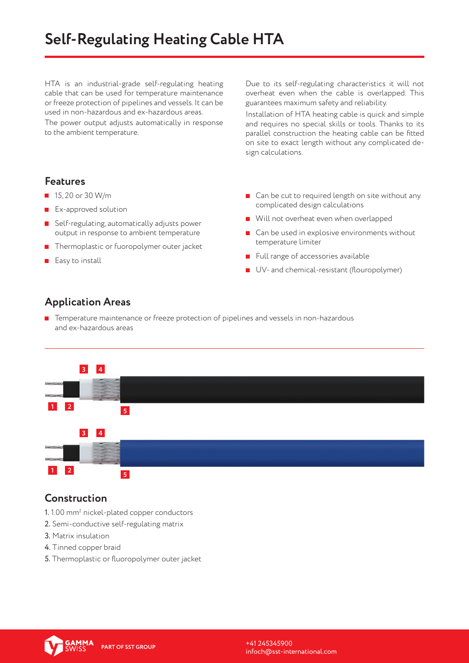# **Self-Regulating Heating Cable HTA**

HTA is an industrial-grade self-regulating heating cable that can be used for temperature maintenance or freeze protection of pipelines and vessels. It can be used in non-hazardous and ex-hazardous areas.

The power output adjusts automatically in response to the ambient temperature.

Due to its self-regulating characteristics it will not overheat even when the cable is overlapped. This guarantees maximum safety and reliability.

Installation of HTA heating cable is quick and simple and requires no special skills or tools. Thanks to its parallel construction the heating cable can be fitted on site to exact length without any complicated design calculations.

#### **Features**

- $15, 20$  or 30 W/m
- **EX-approved solution**
- **B** Self-regulating, automatically adjusts power output in response to ambient temperature
- **Thermoplastic or fuoropolymer outer jacket**
- $E$ asy to install
- Can be cut to required length on site without any complicated design calculations
- Will not overheat even when overlapped
- Can be used in explosive environments without temperature limiter
- $\blacksquare$  Full range of accessories available
- UV- and chemical-resistant (flouropolymer)

## **Application Areas**

**T** Temperature maintenance or freeze protection of pipelines and vessels in non-hazardous and ex-hazardous areas



### **Construction**

- $1. \, 1.00$  mm $^2$  nickel-plated copper conductors
- 2. Semi-conductive self-regulating matrix
- 3. Matrix insulation
- 4. Tinned copper braid
- 5. Thermoplastic or fluoropolymer outer jacket